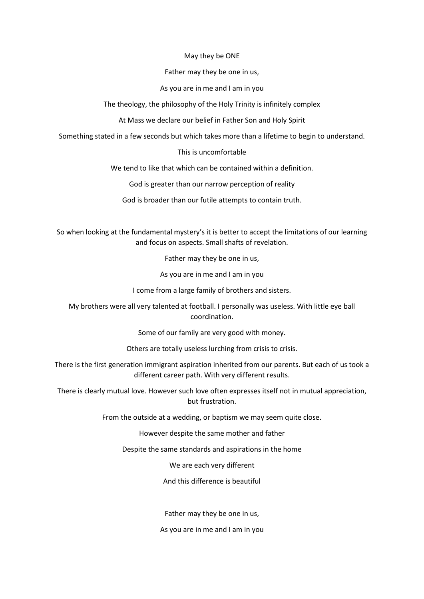#### May they be ONE

Father may they be one in us,

# As you are in me and I am in you

The theology, the philosophy of the Holy Trinity is infinitely complex

At Mass we declare our belief in Father Son and Holy Spirit

Something stated in a few seconds but which takes more than a lifetime to begin to understand.

# This is uncomfortable

We tend to like that which can be contained within a definition.

God is greater than our narrow perception of reality

God is broader than our futile attempts to contain truth.

So when looking at the fundamental mystery's it is better to accept the limitations of our learning and focus on aspects. Small shafts of revelation.

Father may they be one in us,

As you are in me and I am in you

I come from a large family of brothers and sisters.

My brothers were all very talented at football. I personally was useless. With little eye ball coordination.

Some of our family are very good with money.

Others are totally useless lurching from crisis to crisis.

There is the first generation immigrant aspiration inherited from our parents. But each of us took a different career path. With very different results.

There is clearly mutual love. However such love often expresses itself not in mutual appreciation, but frustration.

From the outside at a wedding, or baptism we may seem quite close.

However despite the same mother and father

Despite the same standards and aspirations in the home

We are each very different

And this difference is beautiful

Father may they be one in us,

As you are in me and I am in you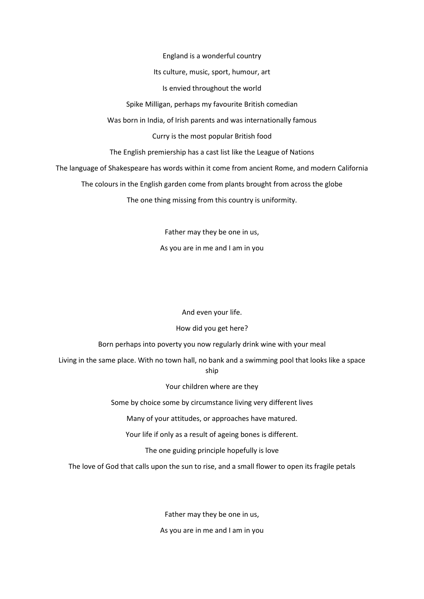England is a wonderful country

#### Its culture, music, sport, humour, art

#### Is envied throughout the world

Spike Milligan, perhaps my favourite British comedian

Was born in India, of Irish parents and was internationally famous

## Curry is the most popular British food

The English premiership has a cast list like the League of Nations

The language of Shakespeare has words within it come from ancient Rome, and modern California

The colours in the English garden come from plants brought from across the globe

The one thing missing from this country is uniformity.

Father may they be one in us, As you are in me and I am in you

And even your life.

## How did you get here?

Born perhaps into poverty you now regularly drink wine with your meal

Living in the same place. With no town hall, no bank and a swimming pool that looks like a space ship

Your children where are they

Some by choice some by circumstance living very different lives

Many of your attitudes, or approaches have matured.

Your life if only as a result of ageing bones is different.

The one guiding principle hopefully is love

The love of God that calls upon the sun to rise, and a small flower to open its fragile petals

Father may they be one in us, As you are in me and I am in you